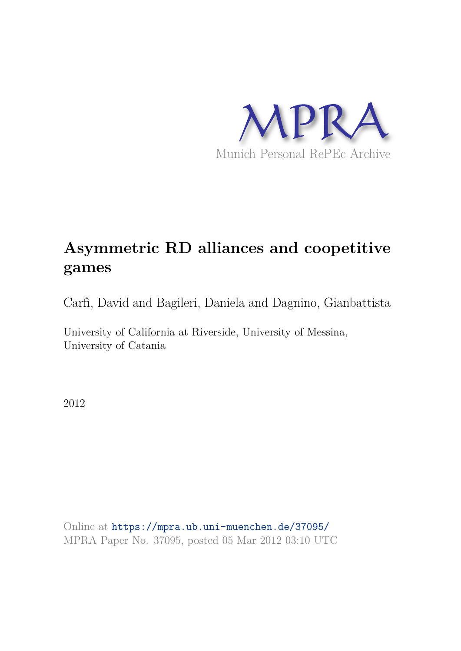

# **Asymmetric RD alliances and coopetitive games**

Carfì, David and Bagileri, Daniela and Dagnino, Gianbattista

University of California at Riverside, University of Messina, University of Catania

2012

Online at https://mpra.ub.uni-muenchen.de/37095/ MPRA Paper No. 37095, posted 05 Mar 2012 03:10 UTC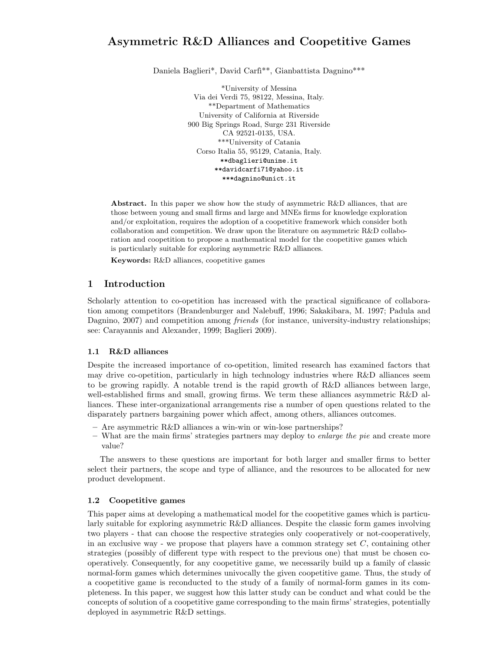## Asymmetric R&D Alliances and Coopetitive Games

Daniela Baglieri\*, David Carfi<sup>\*\*</sup>, Gianbattista Dagnino\*\*\*

\*University of Messina Via dei Verdi 75, 98122, Messina, Italy. \*\*Department of Mathematics University of California at Riverside 900 Big Springs Road, Surge 231 Riverside CA 92521-0135, USA. \*\*\*University of Catania Corso Italia 55, 95129, Catania, Italy. \*\*dbaglieri@unime.it \*\*davidcarfi71@yahoo.it \*\*\*dagnino@unict.it

Abstract. In this paper we show how the study of asymmetric R&D alliances, that are those between young and small firms and large and MNEs firms for knowledge exploration and/or exploitation, requires the adoption of a coopetitive framework which consider both collaboration and competition. We draw upon the literature on asymmetric R&D collaboration and coopetition to propose a mathematical model for the coopetitive games which is particularly suitable for exploring asymmetric R&D alliances.

Keywords: R&D alliances, coopetitive games

## 1 Introduction

Scholarly attention to co-opetition has increased with the practical significance of collaboration among competitors (Brandenburger and Nalebuff, 1996; Sakakibara, M. 1997; Padula and Dagnino, 2007) and competition among *friends* (for instance, university-industry relationships; see: Carayannis and Alexander, 1999; Baglieri 2009).

## 1.1 R&D alliances

Despite the increased importance of co-opetition, limited research has examined factors that may drive co-opetition, particularly in high technology industries where R&D alliances seem to be growing rapidly. A notable trend is the rapid growth of R&D alliances between large, well-established firms and small, growing firms. We term these alliances asymmetric R&D alliances. These inter-organizational arrangements rise a number of open questions related to the disparately partners bargaining power which affect, among others, alliances outcomes.

- Are asymmetric R&D alliances a win-win or win-lose partnerships?
- $-$  What are the main firms' strategies partners may deploy to *enlarge the pie* and create more value?

The answers to these questions are important for both larger and smaller firms to better select their partners, the scope and type of alliance, and the resources to be allocated for new product development.

## 1.2 Coopetitive games

This paper aims at developing a mathematical model for the coopetitive games which is particularly suitable for exploring asymmetric R&D alliances. Despite the classic form games involving two players - that can choose the respective strategies only cooperatively or not-cooperatively, in an exclusive way - we propose that players have a common strategy set  $C$ , containing other strategies (possibly of different type with respect to the previous one) that must be chosen cooperatively. Consequently, for any coopetitive game, we necessarily build up a family of classic normal-form games which determines univocally the given coopetitive game. Thus, the study of a coopetitive game is reconducted to the study of a family of normal-form games in its completeness. In this paper, we suggest how this latter study can be conduct and what could be the concepts of solution of a coopetitive game corresponding to the main firms' strategies, potentially deployed in asymmetric R&D settings.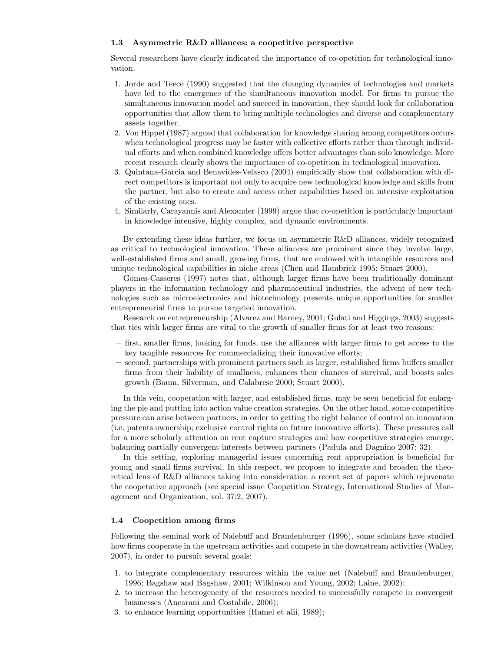## 1.3 Asymmetric R&D alliances: a coopetitive perspective

Several researchers have clearly indicated the importance of co-opetition for technological innovation.

- 1. Jorde and Teece (1990) suggested that the changing dynamics of technologies and markets have led to the emergence of the simultaneous innovation model. For firms to pursue the simultaneous innovation model and succeed in innovation, they should look for collaboration opportunities that allow them to bring multiple technologies and diverse and complementary assets together.
- 2. Von Hippel (1987) argued that collaboration for knowledge sharing among competitors occurs when technological progress may be faster with collective efforts rather than through individual efforts and when combined knowledge offers better advantages than solo knowledge. More recent research clearly shows the importance of co-opetition in technological innovation.
- 3. Quintana-Garcia and Benavides-Velasco (2004) empirically show that collaboration with direct competitors is important not only to acquire new technological knowledge and skills from the partner, but also to create and access other capabilities based on intensive exploitation of the existing ones.
- 4. Similarly, Carayannis and Alexander (1999) argue that co-opetition is particularly important in knowledge intensive, highly complex, and dynamic environments.

By extending these ideas further, we focus on asymmetric R&D alliances, widely recognized as critical to technological innovation. These alliances are prominent since they involve large, well-established firms and small, growing firms, that are endowed with intangible resources and unique technological capabilities in niche areas (Chen and Hambrick 1995; Stuart 2000).

Gomes-Casseres (1997) notes that, although larger firms have been traditionally dominant players in the information technology and pharmaceutical industries, the advent of new technologies such as microelectronics and biotechnology presents unique opportunities for smaller entrepreneurial firms to pursue targeted innovation.

Research on entrepreneurship (Alvarez and Barney, 2001; Gulati and Higgings, 2003) suggests that ties with larger firms are vital to the growth of smaller firms for at least two reasons:

- first, smaller firms, looking for funds, use the alliances with larger firms to get access to the key tangible resources for commercializing their innovative efforts;
- second, partnerships with prominent partners such as larger, established firms buffers smaller firms from their liability of smallness, enhances their chances of survival, and boosts sales growth (Baum, Silverman, and Calabrese 2000; Stuart 2000).

In this vein, cooperation with larger, and established firms, may be seen beneficial for enlarging the pie and putting into action value creation strategies. On the other hand, some competitive pressure can arise between partners, in order to getting the right balance of control on innovation (i.e. patents ownership; exclusive control rights on future innovative efforts). These pressures call for a more scholarly attention on rent capture strategies and how coopetitive strategies emerge, balancing partially convergent interests between partners (Padula and Dagnino 2007: 32).

In this setting, exploring managerial issues concerning rent appropriation is beneficial for young and small firms survival. In this respect, we propose to integrate and broaden the theoretical lens of R&D alliances taking into consideration a recent set of papers which rejuvenate the coopetative approach (see special issue Coopetition Strategy, International Studies of Management and Organization, vol. 37:2, 2007).

## 1.4 Coopetition among firms

Following the seminal work of Nalebuff and Brandenburger (1996), some scholars have studied how firms cooperate in the upstream activities and compete in the downstream activities (Walley, 2007), in order to pursuit several goals:

- 1. to integrate complementary resources within the value net (Nalebuff and Brandenburger, 1996; Bagshaw and Bagshaw, 2001; Wilkinson and Young, 2002; Laine, 2002);
- 2. to increase the heterogeneity of the resources needed to successfully compete in convergent businesses (Ancarani and Costabile, 2006);
- 3. to enhance learning opportunities (Hamel et alii, 1989);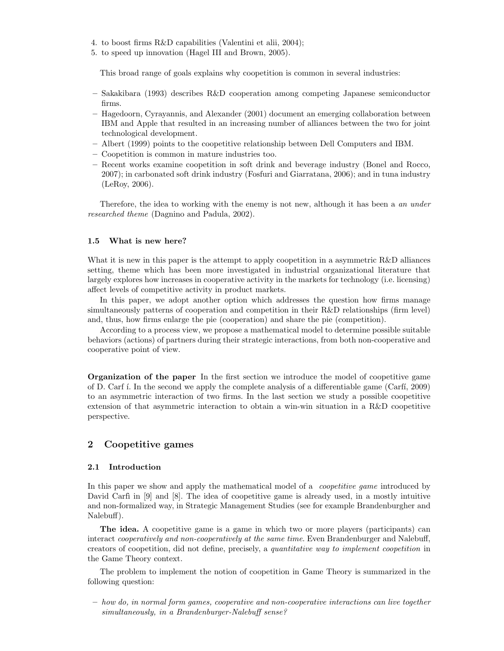- 4. to boost firms R&D capabilities (Valentini et alii, 2004);
- 5. to speed up innovation (Hagel III and Brown, 2005).

This broad range of goals explains why coopetition is common in several industries:

- Sakakibara (1993) describes R&D cooperation among competing Japanese semiconductor firms.
- Hagedoorn, Cyrayannis, and Alexander (2001) document an emerging collaboration between IBM and Apple that resulted in an increasing number of alliances between the two for joint technological development.
- Albert (1999) points to the coopetitive relationship between Dell Computers and IBM.
- Coopetition is common in mature industries too.
- Recent works examine coopetition in soft drink and beverage industry (Bonel and Rocco, 2007); in carbonated soft drink industry (Fosfuri and Giarratana, 2006); and in tuna industry (LeRoy, 2006).

Therefore, the idea to working with the enemy is not new, although it has been a an under researched theme (Dagnino and Padula, 2002).

## 1.5 What is new here?

What it is new in this paper is the attempt to apply coopetition in a asymmetric R&D alliances setting, theme which has been more investigated in industrial organizational literature that largely explores how increases in cooperative activity in the markets for technology (i.e. licensing) affect levels of competitive activity in product markets.

In this paper, we adopt another option which addresses the question how firms manage simultaneously patterns of cooperation and competition in their R&D relationships (firm level) and, thus, how firms enlarge the pie (cooperation) and share the pie (competition).

According to a process view, we propose a mathematical model to determine possible suitable behaviors (actions) of partners during their strategic interactions, from both non-cooperative and cooperative point of view.

Organization of the paper In the first section we introduce the model of coopetitive game of D. Carf ´ı. In the second we apply the complete analysis of a differentiable game (Carf´ı, 2009) to an asymmetric interaction of two firms. In the last section we study a possible coopetitive extension of that asymmetric interaction to obtain a win-win situation in a R&D coopetitive perspective.

## 2 Coopetitive games

## 2.1 Introduction

In this paper we show and apply the mathematical model of a *coopetitive game* introduced by David Carfi in  $[9]$  and  $[8]$ . The idea of coopetitive game is already used, in a mostly intuitive and non-formalized way, in Strategic Management Studies (see for example Brandenburgher and Nalebuff).

The idea. A coopetitive game is a game in which two or more players (participants) can interact *cooperatively and non-cooperatively at the same time*. Even Brandenburger and Nalebuff, creators of coopetition, did not define, precisely, a quantitative way to implement coopetition in the Game Theory context.

The problem to implement the notion of coopetition in Game Theory is summarized in the following question:

– how do, in normal form games, cooperative and non-cooperative interactions can live together simultaneously, in a Brandenburger-Nalebuff sense?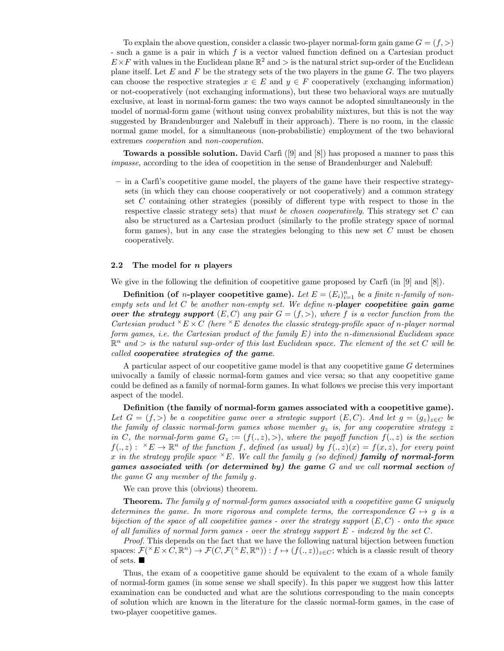To explain the above question, consider a classic two-player normal-form gain game  $G = (f, >)$ - such a game is a pair in which f is a vector valued function defined on a Cartesian product  $E \times F$  with values in the Euclidean plane  $\mathbb{R}^2$  and  $\geq$  is the natural strict sup-order of the Euclidean plane itself. Let  $E$  and  $F$  be the strategy sets of the two players in the game  $G$ . The two players can choose the respective strategies  $x \in E$  and  $y \in F$  cooperatively (exchanging information) or not-cooperatively (not exchanging informations), but these two behavioral ways are mutually exclusive, at least in normal-form games: the two ways cannot be adopted simultaneously in the model of normal-form game (without using convex probability mixtures, but this is not the way suggested by Brandenburger and Nalebuff in their approach). There is no room, in the classic normal game model, for a simultaneous (non-probabilistic) employment of the two behavioral extremes cooperation and non-cooperation.

**Towards a possible solution.** David Carfi  $([9] \text{ and } [8])$  has proposed a manner to pass this impasse, according to the idea of coopetition in the sense of Brandenburger and Nalebuff:

 $-$  in a Carfi's coopetitive game model, the players of the game have their respective strategysets (in which they can choose cooperatively or not cooperatively) and a common strategy set C containing other strategies (possibly of different type with respect to those in the respective classic strategy sets) that must be chosen cooperatively. This strategy set  $C$  can also be structured as a Cartesian product (similarly to the profile strategy space of normal form games), but in any case the strategies belonging to this new set  $C$  must be chosen cooperatively.

## 2.2 The model for n players

We give in the following the definition of coopetitive game proposed by Carfi (in [9] and [8]).

**Definition** (of *n*-player coopetitive game). Let  $E = (E_i)_{i=1}^n$  be a finite *n*-family of non $empty sets and let C be another non-empty set. We define n-player copetitive gain game$ over the strategy support  $(E, C)$  any pair  $G = (f, >)$ , where f is a vector function from the Cartesian product  ${}^{\times}E \times C$  (here  ${}^{\times}E$  denotes the classic strategy-profile space of n-player normal form games, i.e. the Cartesian product of the family  $E$ ) into the n-dimensional Euclidean space  $\mathbb{R}^n$  and  $>$  is the natural sup-order of this last Euclidean space. The element of the set C will be called cooperative strategies of the game.

A particular aspect of our coopetitive game model is that any coopetitive game G determines univocally a family of classic normal-form games and vice versa; so that any coopetitive game could be defined as a family of normal-form games. In what follows we precise this very important aspect of the model.

Definition (the family of normal-form games associated with a coopetitive game). Let  $G = (f, >)$  be a coopetitive game over a strategic support  $(E, C)$ . And let  $g = (g_z)_{z \in C}$  be the family of classic normal-form games whose member  $g_z$  is, for any cooperative strategy z in C, the normal-form game  $G_z := (f(.z), >),$  where the payoff function  $f(., z)$  is the section  $f(., z): {}^{\times}E \to \mathbb{R}^n$  of the function f, defined (as usual) by  $f(., z)(x) = f(x, z)$ , for every point x in the strategy profile space  $E$ . We call the family g (so defined) family of normal-form games associated with (or determined by) the game G and we call normal section of the game G any member of the family g.

We can prove this (obvious) theorem.

**Theorem.** The family g of normal-form games associated with a coopetitive game G uniquely determines the game. In more rigorous and complete terms, the correspondence  $G \mapsto g$  is a bijection of the space of all coopetitive games - over the strategy support  $(E, C)$  - onto the space of all families of normal form games - over the strategy support  $E$  - indexed by the set  $C$ .

Proof. This depends on the fact that we have the following natural bijection between function spaces:  $\mathcal{F}(\n\chi^k E \times C, \mathbb{R}^n) \to \mathcal{F}(C, \mathcal{F}(\n\chi^k E, \mathbb{R}^n)) : f \mapsto (f(.), z))_{z \in C}$ ; which is a classic result of theory of sets.

Thus, the exam of a coopetitive game should be equivalent to the exam of a whole family of normal-form games (in some sense we shall specify). In this paper we suggest how this latter examination can be conducted and what are the solutions corresponding to the main concepts of solution which are known in the literature for the classic normal-form games, in the case of two-player coopetitive games.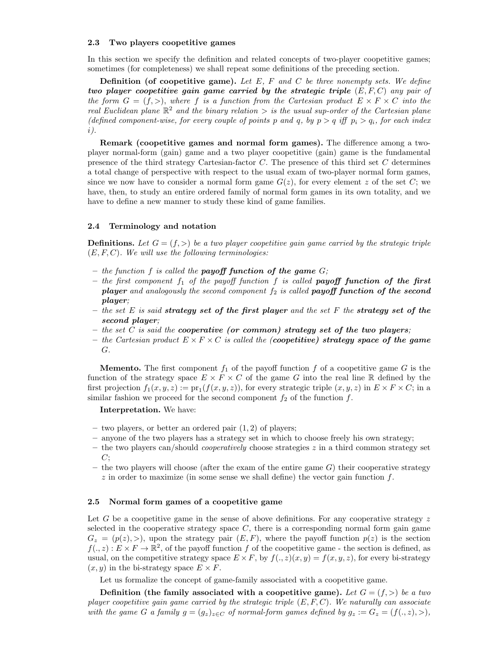#### 2.3 Two players coopetitive games

In this section we specify the definition and related concepts of two-player coopetitive games; sometimes (for completeness) we shall repeat some definitions of the preceding section.

**Definition (of coopetitive game).** Let  $E$ ,  $F$  and  $C$  be three nonempty sets. We define two player coopetitive gain game carried by the strategic triple  $(E, F, C)$  any pair of the form  $G = (f, >)$ , where f is a function from the Cartesian product  $E \times F \times C$  into the real Euclidean plane  $\mathbb{R}^2$  and the binary relation  $\gt$  is the usual sup-order of the Cartesian plane (defined component-wise, for every couple of points p and q, by  $p > q$  iff  $p_i > q_i$ , for each index i).

Remark (coopetitive games and normal form games). The difference among a twoplayer normal-form (gain) game and a two player coopetitive (gain) game is the fundamental presence of the third strategy Cartesian-factor  $C$ . The presence of this third set  $C$  determines a total change of perspective with respect to the usual exam of two-player normal form games, since we now have to consider a normal form game  $G(z)$ , for every element z of the set C; we have, then, to study an entire ordered family of normal form games in its own totality, and we have to define a new manner to study these kind of game families.

## 2.4 Terminology and notation

**Definitions.** Let  $G = (f, >)$  be a two player coopetitive gain game carried by the strategic triple  $(E, F, C)$ . We will use the following terminologies:

- the function  $f$  is called the **payoff function of the game**  $G$ ;
- the first component  $f_1$  of the payoff function f is called **payoff function of the first player** and analogously the second component  $f_2$  is called **payoff function of the second** player;
- the set E is said strategy set of the first player and the set F the strategy set of the second player;
- the set  $C$  is said the **cooperative** (or common) strategy set of the two players;
- the Cartesian product  $E \times F \times C$  is called the (coopetitive) strategy space of the game G.

**Memento.** The first component  $f_1$  of the payoff function f of a coopetitive game G is the function of the strategy space  $E \times F \times C$  of the game G into the real line R defined by the first projection  $f_1(x, y, z) := \text{pr}_1(f(x, y, z))$ , for every strategic triple  $(x, y, z)$  in  $E \times F \times C$ ; in a similar fashion we proceed for the second component  $f_2$  of the function  $f$ .

Interpretation. We have:

- two players, or better an ordered pair  $(1, 2)$  of players;
- anyone of the two players has a strategy set in which to choose freely his own strategy;
- the two players can/should *cooperatively* choose strategies  $z$  in a third common strategy set  $C$ ;
- the two players will choose (after the exam of the entire game  $G$ ) their cooperative strategy  $z$  in order to maximize (in some sense we shall define) the vector gain function  $f$ .

#### 2.5 Normal form games of a coopetitive game

Let G be a coopetitive game in the sense of above definitions. For any cooperative strategy  $z$ selected in the cooperative strategy space  $C$ , there is a corresponding normal form gain game  $G_z = (p(z), >)$ , upon the strategy pair  $(E, F)$ , where the payoff function  $p(z)$  is the section  $f(., z): E \times F \to \mathbb{R}^2$ , of the payoff function f of the coopetitive game - the section is defined, as usual, on the competitive strategy space  $E \times F$ , by  $f(., z)(x, y) = f(x, y, z)$ , for every bi-strategy  $(x, y)$  in the bi-strategy space  $E \times F$ .

Let us formalize the concept of game-family associated with a coopetitive game.

Definition (the family associated with a coopetitive game). Let  $G = (f, >)$  be a two player coopetitive gain game carried by the strategic triple  $(E, F, C)$ . We naturally can associate with the game G a family  $g = (g_z)_{z \in C}$  of normal-form games defined by  $g_z := G_z = (f(.z), >),$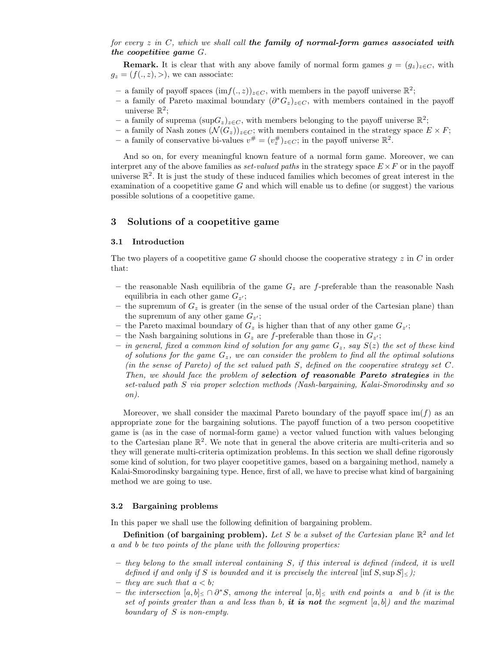## for every  $z$  in  $C$ , which we shall call the family of normal-form games associated with the coopetitive game G.

**Remark.** It is clear that with any above family of normal form games  $g = (g_z)_{z \in C}$ , with  $g_z = (f(., z), >),$  we can associate:

- a family of payoff spaces  $(\text{im} f(., z))_{z \in C}$ , with members in the payoff universe  $\mathbb{R}^2$ ;
- a family of Pareto maximal boundary  $(\partial^* G_z)_{z \in C}$ , with members contained in the payoff universe  $\mathbb{R}^2$ ;
- a family of suprema  $(\sup G_z)_{z \in C}$ , with members belonging to the payoff universe ℝ<sup>2</sup>;
- a family of Nash zones  $(\mathcal{N}(G_z))_{z \in C}$ ; with members contained in the strategy space  $E \times F$ ;
- a family of conservative bi-values  $v^{\#} = (v^{\#}_{z})_{z \in C}$ ; in the payoff universe  $\mathbb{R}^{2}$ .

And so on, for every meaningful known feature of a normal form game. Moreover, we can interpret any of the above families as *set-valued paths* in the strategy space  $E \times F$  or in the payoff universe  $\mathbb{R}^2$ . It is just the study of these induced families which becomes of great interest in the examination of a coopetitive game  $G$  and which will enable us to define (or suggest) the various possible solutions of a coopetitive game.

## 3 Solutions of a coopetitive game

#### 3.1 Introduction

The two players of a coopetitive game G should choose the cooperative strategy  $z$  in  $C$  in order that:

- the reasonable Nash equilibria of the game  $G_z$  are f-preferable than the reasonable Nash equilibria in each other game  $G_{z'}$ ;
- the supremum of  $G_z$  is greater (in the sense of the usual order of the Cartesian plane) than the supremum of any other game  $G_{z'}$ ;
- the Pareto maximal boundary of  $G_z$  is higher than that of any other game  $G_{z'}$ ;
- the Nash bargaining solutions in  $G_z$  are f-preferable than those in  $G_{z'}$ ;
- $-$  in general, fixed a common kind of solution for any game  $G_z$ , say  $S(z)$  the set of these kind of solutions for the game  $G_z$ , we can consider the problem to find all the optimal solutions (in the sense of Pareto) of the set valued path S, defined on the cooperative strategy set C. Then, we should face the problem of selection of reasonable Pareto strategies in the set-valued path S via proper selection methods (Nash-bargaining, Kalai-Smorodinsky and so on).

Moreover, we shall consider the maximal Pareto boundary of the payoff space  $\text{im}(f)$  as an appropriate zone for the bargaining solutions. The payoff function of a two person coopetitive game is (as in the case of normal-form game) a vector valued function with values belonging to the Cartesian plane  $\mathbb{R}^2$ . We note that in general the above criteria are multi-criteria and so they will generate multi-criteria optimization problems. In this section we shall define rigorously some kind of solution, for two player coopetitive games, based on a bargaining method, namely a Kalai-Smorodinsky bargaining type. Hence, first of all, we have to precise what kind of bargaining method we are going to use.

## 3.2 Bargaining problems

In this paper we shall use the following definition of bargaining problem.

Definition (of bargaining problem). Let S be a subset of the Cartesian plane  $\mathbb{R}^2$  and let a and b be two points of the plane with the following properties:

- they belong to the small interval containing S, if this interval is defined (indeed, it is well defined if and only if S is bounded and it is precisely the interval  $[\inf S, \sup S] \leq$ .
- they are such that  $a < b$ ;
- $-$  the intersection  $[a, b] \le \bigcap \partial^* S$ , among the interval  $[a, b] \le$  with end points a and b (it is the set of points greater than a and less than b, it is not the segment  $[a, b]$  and the maximal boundary of S is non-empty.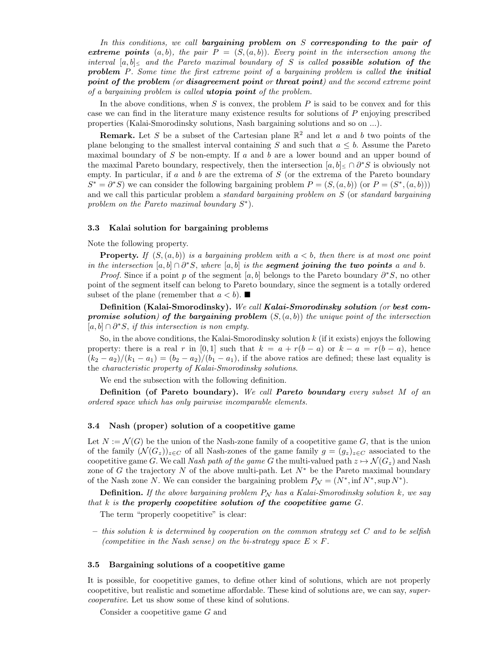In this conditions, we call bargaining problem on S corresponding to the pair of extreme points  $(a, b)$ , the pair  $P = (S, (a, b))$ . Every point in the intersection among the interval  $[a, b]_{\leq}$  and the Pareto maximal boundary of S is called **possible solution of the** problem P. Some time the first extreme point of a bargaining problem is called the initial point of the problem (or disagreement point or threat point) and the second extreme point of a bargaining problem is called utopia point of the problem.

In the above conditions, when  $S$  is convex, the problem  $P$  is said to be convex and for this case we can find in the literature many existence results for solutions of P enjoying prescribed properties (Kalai-Smorodinsky solutions, Nash bargaining solutions and so on ...).

**Remark.** Let S be a subset of the Cartesian plane  $\mathbb{R}^2$  and let a and b two points of the plane belonging to the smallest interval containing S and such that  $a \leq b$ . Assume the Pareto maximal boundary of S be non-empty. If a and b are a lower bound and an upper bound of the maximal Pareto boundary, respectively, then the intersection  $[a, b] \leq \bigcap \partial^* S$  is obviously not empty. In particular, if  $a$  and  $b$  are the extrema of  $S$  (or the extrema of the Pareto boundary  $S^* = \partial^* S$  we can consider the following bargaining problem  $P = (S, (a, b))$  (or  $P = (S^*, (a, b))$ ) and we call this particular problem a *standard bargaining problem on* S (or *standard bargaining* problem on the Pareto maximal boundary  $S^*$ ).

#### 3.3 Kalai solution for bargaining problems

## Note the following property.

**Property.** If  $(S(a, b))$  is a bargaining problem with  $a < b$ , then there is at most one point in the intersection  $[a, b] \cap \partial^* S$ , where  $[a, b]$  is the **segment joining the two points** a and b.

*Proof.* Since if a point p of the segment [a, b] belongs to the Pareto boundary  $\partial^* S$ , no other point of the segment itself can belong to Pareto boundary, since the segment is a totally ordered subset of the plane (remember that  $a < b$ ).

Definition (Kalai-Smorodinsky). We call Kalai-Smorodinsky solution (or best compromise solution) of the bargaining problem  $(S,(a, b))$  the unique point of the intersection  $[a, b] \cap \partial^* S$ , if this intersection is non empty.

So, in the above conditions, the Kalai-Smorodinsky solution  $k$  (if it exists) enjoys the following property: there is a real r in [0,1] such that  $k = a + r(b - a)$  or  $k - a = r(b - a)$ , hence  $(k_2 - a_2)/(k_1 - a_1) = (b_2 - a_2)/(b_1 - a_1)$ , if the above ratios are defined; these last equality is the characteristic property of Kalai-Smorodinsky solutions.

We end the subsection with the following definition.

Definition (of Pareto boundary). We call Pareto boundary every subset M of an ordered space which has only pairwise incomparable elements.

## 3.4 Nash (proper) solution of a coopetitive game

Let  $N := \mathcal{N}(G)$  be the union of the Nash-zone family of a coopetitive game G, that is the union of the family  $(\mathcal{N}(G_z))_{z\in\mathbb{C}}$  of all Nash-zones of the game family  $g = (g_z)_{z\in\mathbb{C}}$  associated to the coopetitive game G. We call Nash path of the game G the multi-valued path  $z \mapsto \mathcal{N}(G_z)$  and Nash zone of G the trajectory N of the above multi-path. Let  $N^*$  be the Pareto maximal boundary of the Nash zone N. We can consider the bargaining problem  $P_N = (N^*, \inf N^*, \sup N^*)$ .

**Definition.** If the above bargaining problem  $P_N$  has a Kalai-Smorodinsky solution k, we say that  $k$  is the properly coopetitive solution of the coopetitive game  $G$ .

The term "properly coopetitive" is clear:

 $-$  this solution k is determined by cooperation on the common strategy set C and to be selfish (competitive in the Nash sense) on the bi-strategy space  $E \times F$ .

## 3.5 Bargaining solutions of a coopetitive game

It is possible, for coopetitive games, to define other kind of solutions, which are not properly coopetitive, but realistic and sometime affordable. These kind of solutions are, we can say, supercooperative. Let us show some of these kind of solutions.

Consider a coopetitive game G and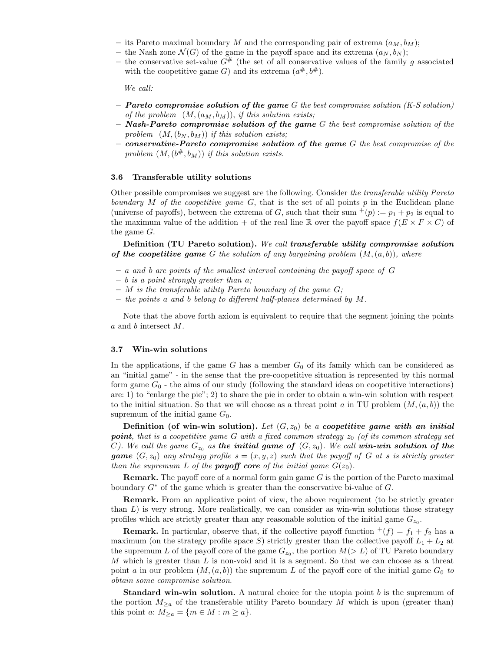- its Pareto maximal boundary M and the corresponding pair of extrema  $(a_M, b_M);$
- the Nash zone  $\mathcal{N}(G)$  of the game in the payoff space and its extrema  $(a_N, b_N);$
- the conservative set-value  $G^{\#}$  (the set of all conservative values of the family g associated with the coopetitive game G) and its extrema  $(a^{\#}, b^{\#})$ .

We call:

- $-$  **Pareto compromise solution of the game** G the best compromise solution (K-S solution) of the problem  $(M, (a_M, b_M))$ , if this solution exists;
- $-$  Nash-Pareto compromise solution of the game G the best compromise solution of the problem  $(M, (b_N, b_M))$  if this solution exists;
- $-$  conservative-Pareto compromise solution of the game  $G$  the best compromise of the problem  $(M, (b^{\#}, b_M))$  if this solution exists.

#### 3.6 Transferable utility solutions

Other possible compromises we suggest are the following. Consider the transferable utility Pareto boundary  $M$  of the coopetitive game  $G$ , that is the set of all points  $p$  in the Euclidean plane (universe of payoffs), between the extrema of G, such that their sum  $^+(p) := p_1 + p_2$  is equal to the maximum value of the addition + of the real line R over the payoff space  $f(E \times F \times C)$  of the game G.

Definition (TU Pareto solution). We call transferable utility compromise solution of the coopetitive game G the solution of any bargaining problem  $(M, (a, b))$ , where

- a and b are points of the smallest interval containing the payoff space of G
- $b$  is a point strongly greater than  $a$ ;
- $-$  M is the transferable utility Pareto boundary of the game  $G$ ;
- the points a and b belong to different half-planes determined by M.

Note that the above forth axiom is equivalent to require that the segment joining the points a and b intersect M.

#### 3.7 Win-win solutions

In the applications, if the game G has a member  $G_0$  of its family which can be considered as an "initial game" - in the sense that the pre-coopetitive situation is represented by this normal form game  $G_0$  - the aims of our study (following the standard ideas on coopetitive interactions) are: 1) to "enlarge the pie"; 2) to share the pie in order to obtain a win-win solution with respect to the initial situation. So that we will choose as a threat point a in TU problem  $(M,(a, b))$  the supremum of the initial game  $G_0$ .

Definition (of win-win solution). Let  $(G, z_0)$  be a coopetitive game with an initial **point**, that is a coopetitive game G with a fixed common strategy  $z_0$  (of its common strategy set C). We call the game  $G_{z_0}$  as the initial game of  $(G, z_0)$ . We call win-win solution of the **game**  $(G, z_0)$  any strategy profile  $s = (x, y, z)$  such that the payoff of G at s is strictly greater than the supremum L of the **payoff** core of the initial game  $G(z_0)$ .

**Remark.** The payoff core of a normal form gain game  $G$  is the portion of the Pareto maximal boundary  $G^*$  of the game which is greater than the conservative bi-value of  $G$ .

Remark. From an applicative point of view, the above requirement (to be strictly greater than  $L$ ) is very strong. More realistically, we can consider as win-win solutions those strategy profiles which are strictly greater than any reasonable solution of the initial game  $G_{z_0}$ .

**Remark.** In particular, observe that, if the collective payoff function  $f(f) = f_1 + f_2$  has a maximum (on the strategy profile space S) strictly greater than the collective payoff  $L_1 + L_2$  at the supremum L of the payoff core of the game  $G_{z_0}$ , the portion  $M(> L)$  of TU Pareto boundary M which is greater than  $L$  is non-void and it is a segment. So that we can choose as a threat point a in our problem  $(M,(a, b))$  the supremum L of the payoff core of the initial game  $G_0$  to obtain some compromise solution.

**Standard win-win solution.** A natural choice for the utopia point  $b$  is the supremum of the portion  $M_{\geq a}$  of the transferable utility Pareto boundary M which is upon (greater than) this point a:  $M_{\geq a} = \{m \in M : m \geq a\}.$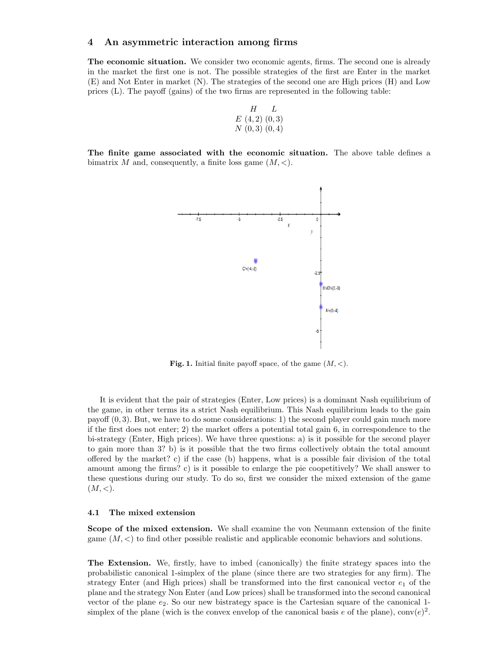## 4 An asymmetric interaction among firms

The economic situation. We consider two economic agents, firms. The second one is already in the market the first one is not. The possible strategies of the first are Enter in the market (E) and Not Enter in market (N). The strategies of the second one are High prices (H) and Low prices (L). The payoff (gains) of the two firms are represented in the following table:

$$
\begin{array}{cc}\n & H & L \\
E(4,2)(0,3) \\
N(0,3)(0,4)\n\end{array}
$$

The finite game associated with the economic situation. The above table defines a bimatrix M and, consequently, a finite loss game  $(M, <)$ .



**Fig. 1.** Initial finite payoff space, of the game  $(M, \leq)$ .

It is evident that the pair of strategies (Enter, Low prices) is a dominant Nash equilibrium of the game, in other terms its a strict Nash equilibrium. This Nash equilibrium leads to the gain payoff  $(0, 3)$ . But, we have to do some considerations: 1) the second player could gain much more if the first does not enter; 2) the market offers a potential total gain 6, in correspondence to the bi-strategy (Enter, High prices). We have three questions: a) is it possible for the second player to gain more than 3? b) is it possible that the two firms collectively obtain the total amount offered by the market? c) if the case (b) happens, what is a possible fair division of the total amount among the firms? c) is it possible to enlarge the pie coopetitively? We shall answer to these questions during our study. To do so, first we consider the mixed extension of the game  $(M,<).$ 

#### 4.1 The mixed extension

Scope of the mixed extension. We shall examine the von Neumann extension of the finite game  $(M, \leq)$  to find other possible realistic and applicable economic behaviors and solutions.

The Extension. We, firstly, have to imbed (canonically) the finite strategy spaces into the probabilistic canonical 1-simplex of the plane (since there are two strategies for any firm). The strategy Enter (and High prices) shall be transformed into the first canonical vector  $e_1$  of the plane and the strategy Non Enter (and Low prices) shall be transformed into the second canonical vector of the plane  $e_2$ . So our new bistrategy space is the Cartesian square of the canonical 1simplex of the plane (wich is the convex envelop of the canonical basis e of the plane),  $\text{conv}(e)^2$ .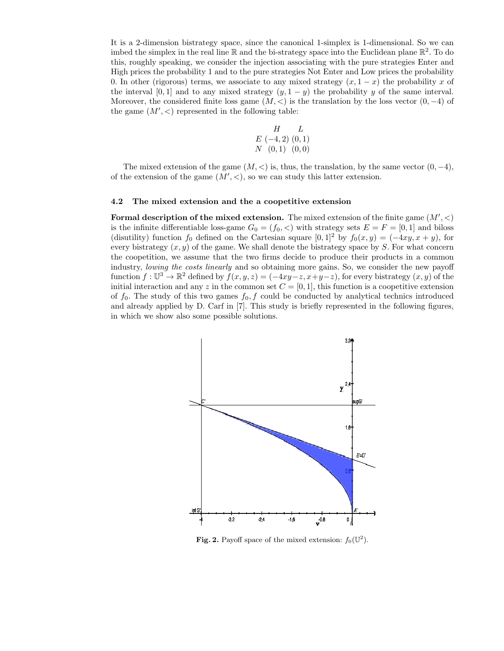It is a 2-dimension bistrategy space, since the canonical 1-simplex is 1-dimensional. So we can imbed the simplex in the real line  $\mathbb R$  and the bi-strategy space into the Euclidean plane  $\mathbb R^2$ . To do this, roughly speaking, we consider the injection associating with the pure strategies Enter and High prices the probability 1 and to the pure strategies Not Enter and Low prices the probability 0. In other (rigorous) terms, we associate to any mixed strategy  $(x, 1-x)$  the probability x of the interval [0, 1] and to any mixed strategy  $(y, 1 - y)$  the probability y of the same interval. Moreover, the considered finite loss game  $(M, \leq)$  is the translation by the loss vector  $(0, -4)$  of the game  $(M',<)$  represented in the following table:

$$
\begin{array}{cc}\n & H & L \\
E & (-4,2) & (0,1) \\
N & (0,1) & (0,0)\n\end{array}
$$

The mixed extension of the game  $(M, <)$  is, thus, the translation, by the same vector  $(0, -4)$ , of the extension of the game  $(M', <)$ , so we can study this latter extension.

#### 4.2 The mixed extension and the a coopetitive extension

Formal description of the mixed extension. The mixed extension of the finite game  $(M', <)$ is the infinite differentiable loss-game  $G_0 = (f_0, <)$  with strategy sets  $E = F = [0, 1]$  and biloss (disutility) function  $f_0$  defined on the Cartesian square  $[0, 1]^2$  by  $f_0(x, y) = (-4xy, x + y)$ , for every bistrategy  $(x, y)$  of the game. We shall denote the bistrategy space by S. For what concern the coopetition, we assume that the two firms decide to produce their products in a common industry, *lowing the costs linearly* and so obtaining more gains. So, we consider the new payoff function  $f: \mathbb{U}^3 \to \mathbb{R}^2$  defined by  $f(x, y, z) = (-4xy-z, x+y-z)$ , for every bistrategy  $(x, y)$  of the initial interaction and any z in the common set  $C = [0, 1]$ , this function is a coopetitive extension of  $f_0$ . The study of this two games  $f_0, f$  could be conducted by analytical technics introduced and already applied by D. Carf in [7]. This study is briefly represented in the following figures, in which we show also some possible solutions.



Fig. 2. Payoff space of the mixed extension:  $f_0(\mathbb{U}^2)$ .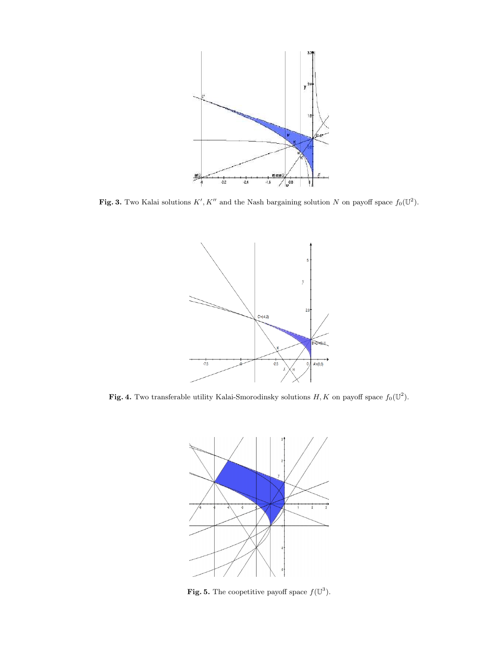

Fig. 3. Two Kalai solutions  $K', K''$  and the Nash bargaining solution N on payoff space  $f_0(\mathbb{U}^2)$ .



Fig. 4. Two transferable utility Kalai-Smorodinsky solutions  $H, K$  on payoff space  $f_0(\mathbb{U}^2)$ .



Fig. 5. The coopetitive payoff space  $f(\mathbb{U}^3)$ .